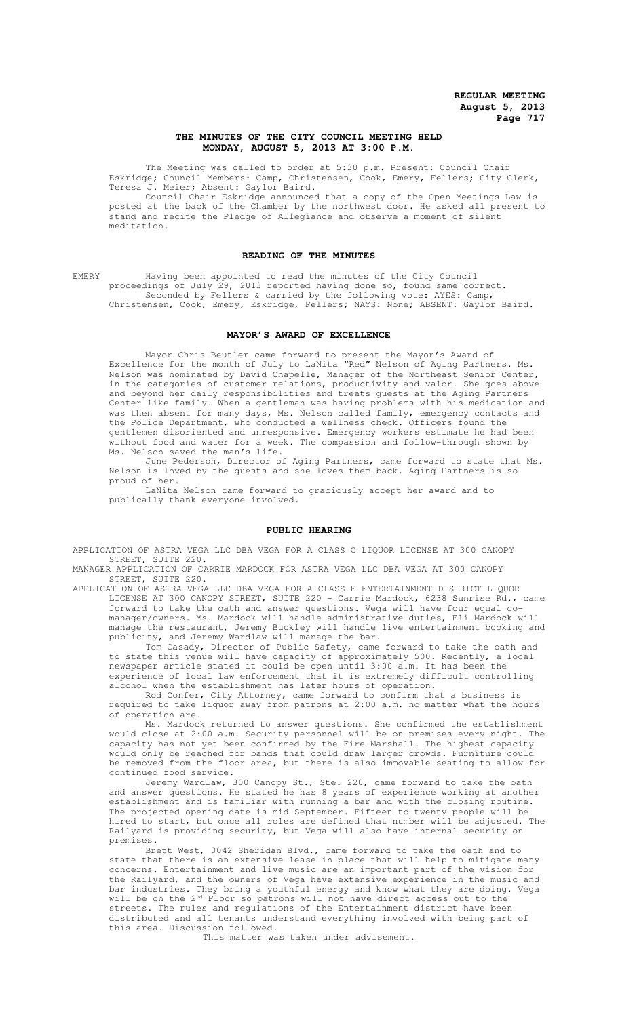## **THE MINUTES OF THE CITY COUNCIL MEETING HELD MONDAY, AUGUST 5, 2013 AT 3:00 P.M.**

The Meeting was called to order at 5:30 p.m. Present: Council Chair Eskridge; Council Members: Camp, Christensen, Cook, Emery, Fellers; City Clerk, Teresa J. Meier; Absent: Gaylor Baird.

Council Chair Eskridge announced that a copy of the Open Meetings Law is posted at the back of the Chamber by the northwest door. He asked all present to stand and recite the Pledge of Allegiance and observe a moment of silent meditation.

## **READING OF THE MINUTES**

EMERY Having been appointed to read the minutes of the City Council proceedings of July 29, 2013 reported having done so, found same correct. Seconded by Fellers & carried by the following vote: AYES: Camp, Christensen, Cook, Emery, Eskridge, Fellers; NAYS: None; ABSENT: Gaylor Baird.

#### **MAYOR'S AWARD OF EXCELLENCE**

Mayor Chris Beutler came forward to present the Mayor's Award of Excellence for the month of July to LaNita "Red" Nelson of Aging Partners. Ms. Nelson was nominated by David Chapelle, Manager of the Northeast Senior Center, in the categories of customer relations, productivity and valor. She goes above and beyond her daily responsibilities and treats guests at the Aging Partners Center like family. When a gentleman was having problems with his medication and was then absent for many days, Ms. Nelson called family, emergency contacts and the Police Department, who conducted a wellness check. Officers found the gentlemen disoriented and unresponsive. Emergency workers estimate he had been without food and water for a week. The compassion and follow-through shown by Ms. Nelson saved the man's life.

June Pederson, Director of Aging Partners, came forward to state that Ms. Nelson is loved by the guests and she loves them back. Aging Partners is so proud of her.

LaNita Nelson came forward to graciously accept her award and to publically thank everyone involved.

#### **PUBLIC HEARING**

APPLICATION OF ASTRA VEGA LLC DBA VEGA FOR A CLASS C LIQUOR LICENSE AT 300 CANOPY STREET, SUITE 220.

MANAGER APPLICATION OF CARRIE MARDOCK FOR ASTRA VEGA LLC DBA VEGA AT 300 CANOPY STREET, SUITE 220.

APPLICATION OF ASTRA VEGA LLC DBA VEGA FOR A CLASS E ENTERTAINMENT DISTRICT LIQUOR LICENSE AT 300 CANOPY STREET, SUITE 220 - Carrie Mardock, 6238 Sunrise Rd., came forward to take the oath and answer questions. Vega will have four equal comanager/owners. Ms. Mardock will handle administrative duties, Eli Mardock will manage the restaurant, Jeremy Buckley will handle live entertainment booking and publicity, and Jeremy Wardlaw will manage the bar.

Tom Casady, Director of Public Safety, came forward to take the oath and to state this venue will have capacity of approximately 500. Recently, a local newspaper article stated it could be open until 3:00 a.m. It has been the experience of local law enforcement that it is extremely difficult controlling alcohol when the establishment has later hours of operation.

Rod Confer, City Attorney, came forward to confirm that a business is required to take liquor away from patrons at 2:00 a.m. no matter what the hours of operation are.

Ms. Mardock returned to answer questions. She confirmed the establishment would close at 2:00 a.m. Security personnel will be on premises every night. The capacity has not yet been confirmed by the Fire Marshall. The highest capacity would only be reached for bands that could draw larger crowds. Furniture could be removed from the floor area, but there is also immovable seating to allow for continued food service.

Jeremy Wardlaw, 300 Canopy St., Ste. 220, came forward to take the oath and answer questions. He stated he has 8 years of experience working at another establishment and is familiar with running a bar and with the closing routine. The projected opening date is mid-September. Fifteen to twenty people will be hired to start, but once all roles are defined that number will be adjusted. The Railyard is providing security, but Vega will also have internal security on premises.

Brett West, 3042 Sheridan Blvd., came forward to take the oath and to state that there is an extensive lease in place that will help to mitigate many concerns. Entertainment and live music are an important part of the vision for the Railyard, and the owners of Vega have extensive experience in the music and bar industries. They bring a youthful energy and know what they are doing. Vega will be on the 2<sup>nd</sup> Floor so patrons will not have direct access out to the streets. The rules and regulations of the Entertainment district have been distributed and all tenants understand everything involved with being part of this area. Discussion followed.

This matter was taken under advisement.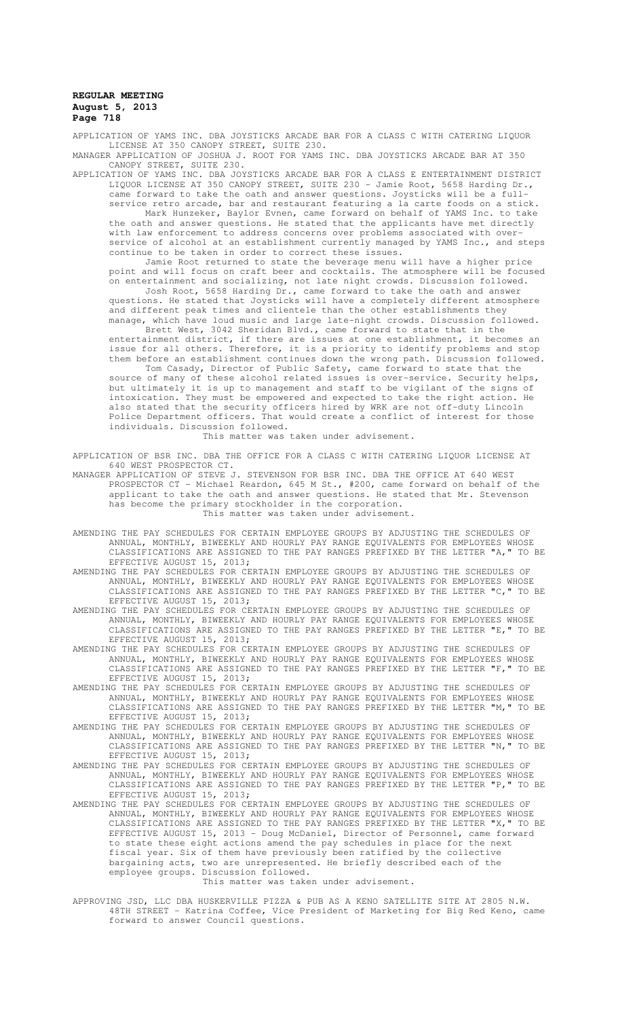APPLICATION OF YAMS INC. DBA JOYSTICKS ARCADE BAR FOR A CLASS C WITH CATERING LIQUOR LICENSE AT 350 CANOPY STREET, SUITE 230. MANAGER APPLICATION OF JOSHUA J. ROOT FOR YAMS INC. DBA JOYSTICKS ARCADE BAR AT 350

CANOPY STREET, SUITE 230. APPLICATION OF YAMS INC. DBA JOYSTICKS ARCADE BAR FOR A CLASS E ENTERTAINMENT DISTRICT LIQUOR LICENSE AT 350 CANOPY STREET, SUITE 230 - Jamie Root, 5658 Harding Dr.,

came forward to take the oath and answer questions. Joysticks will be a fullservice retro arcade, bar and restaurant featuring a la carte foods on a stick. Mark Hunzeker, Baylor Evnen, came forward on behalf of YAMS Inc. to take the oath and answer questions. He stated that the applicants have met directly with law enforcement to address concerns over problems associated with overservice of alcohol at an establishment currently managed by YAMS Inc., and steps continue to be taken in order to correct these issues.

Jamie Root returned to state the beverage menu will have a higher price point and will focus on craft beer and cocktails. The atmosphere will be focused on entertainment and socializing, not late night crowds. Discussion followed.

Josh Root, 5658 Harding Dr., came forward to take the oath and answer questions. He stated that Joysticks will have a completely different atmosphere and different peak times and clientele than the other establishments they manage, which have loud music and large late-night crowds. Discussion followed.

Brett West, 3042 Sheridan Blvd., came forward to state that in the entertainment district, if there are issues at one establishment, it becomes an issue for all others. Therefore, it is a priority to identify problems and stop them before an establishment continues down the wrong path. Discussion followed.

Tom Casady, Director of Public Safety, came forward to state that the source of many of these alcohol related issues is over-service. Security helps, but ultimately it is up to management and staff to be vigilant of the signs of intoxication. They must be empowered and expected to take the right action. He also stated that the security officers hired by WRK are not off-duty Lincoln Police Department officers. That would create a conflict of interest for those individuals. Discussion followed.

This matter was taken under advisement.

APPLICATION OF BSR INC. DBA THE OFFICE FOR A CLASS C WITH CATERING LIQUOR LICENSE AT 640 WEST PROSPECTOR CT.

MANAGER APPLICATION OF STEVE J. STEVENSON FOR BSR INC. DBA THE OFFICE AT 640 WEST PROSPECTOR CT - Michael Reardon, 645 M St., #200, came forward on behalf of the applicant to take the oath and answer questions. He stated that Mr. Stevenson has become the primary stockholder in the corporation. This matter was taken under advisement.

- AMENDING THE PAY SCHEDULES FOR CERTAIN EMPLOYEE GROUPS BY ADJUSTING THE SCHEDULES OF ANNUAL, MONTHLY, BIWEEKLY AND HOURLY PAY RANGE EQUIVALENTS FOR EMPLOYEES WHOSE CLASSIFICATIONS ARE ASSIGNED TO THE PAY RANGES PREFIXED BY THE LETTER "A," TO BE EFFECTIVE AUGUST 15, 2013;
- AMENDING THE PAY SCHEDULES FOR CERTAIN EMPLOYEE GROUPS BY ADJUSTING THE SCHEDULES OF ANNUAL, MONTHLY, BIWEEKLY AND HOURLY PAY RANGE EQUIVALENTS FOR EMPLOYEES WHOSE CLASSIFICATIONS ARE ASSIGNED TO THE PAY RANGES PREFIXED BY THE LETTER "C," TO BE EFFECTIVE AUGUST 15, 2013;
- AMENDING THE PAY SCHEDULES FOR CERTAIN EMPLOYEE GROUPS BY ADJUSTING THE SCHEDULES OF ANNUAL, MONTHLY, BIWEEKLY AND HOURLY PAY RANGE EQUIVALENTS FOR EMPLOYEES WHOSE CLASSIFICATIONS ARE ASSIGNED TO THE PAY RANGES PREFIXED BY THE LETTER "E," TO BE EFFECTIVE AUGUST 15, 2013;
- AMENDING THE PAY SCHEDULES FOR CERTAIN EMPLOYEE GROUPS BY ADJUSTING THE SCHEDULES OF ANNUAL, MONTHLY, BIWEEKLY AND HOURLY PAY RANGE EQUIVALENTS FOR EMPLOYEES WHOSE CLASSIFICATIONS ARE ASSIGNED TO THE PAY RANGES PREFIXED BY THE LETTER "F," TO BE EFFECTIVE AUGUST 15, 2013;
- AMENDING THE PAY SCHEDULES FOR CERTAIN EMPLOYEE GROUPS BY ADJUSTING THE SCHEDULES OF ANNUAL, MONTHLY, BIWEEKLY AND HOURLY PAY RANGE EQUIVALENTS FOR EMPLOYEES WHOSE CLASSIFICATIONS ARE ASSIGNED TO THE PAY RANGES PREFIXED BY THE LETTER "M," TO BE EFFECTIVE AUGUST 15, 2013;
- AMENDING THE PAY SCHEDULES FOR CERTAIN EMPLOYEE GROUPS BY ADJUSTING THE SCHEDULES OF ANNUAL, MONTHLY, BIWEEKLY AND HOURLY PAY RANGE EQUIVALENTS FOR EMPLOYEES WHOSE CLASSIFICATIONS ARE ASSIGNED TO THE PAY RANGES PREFIXED BY THE LETTER "N," TO BE EFFECTIVE AUGUST 15, 2013;
- AMENDING THE PAY SCHEDULES FOR CERTAIN EMPLOYEE GROUPS BY ADJUSTING THE SCHEDULES OF ANNUAL, MONTHLY, BIWEEKLY AND HOURLY PAY RANGE EQUIVALENTS FOR EMPLOYEES WHOSE CLASSIFICATIONS ARE ASSIGNED TO THE PAY RANGES PREFIXED BY THE LETTER "P," TO BE EFFECTIVE AUGUST 15, 2013;
- AMENDING THE PAY SCHEDULES FOR CERTAIN EMPLOYEE GROUPS BY ADJUSTING THE SCHEDULES OF ANNUAL, MONTHLY, BIWEEKLY AND HOURLY PAY RANGE EQUIVALENTS FOR EMPLOYEES WHOSE CLASSIFICATIONS ARE ASSIGNED TO THE PAY RANGES PREFIXED BY THE LETTER "X," TO BE EFFECTIVE AUGUST 15, 2013 - Doug McDaniel, Director of Personnel, came forward to state these eight actions amend the pay schedules in place for the next fiscal year. Six of them have previously been ratified by the collective bargaining acts, two are unrepresented. He briefly described each of the employee groups. Discussion followed.

#### This matter was taken under advisement.

APPROVING JSD, LLC DBA HUSKERVILLE PIZZA & PUB AS A KENO SATELLITE SITE AT 2805 N.W. 48TH STREET - Katrina Coffee, Vice President of Marketing for Big Red Keno, came forward to answer Council questions.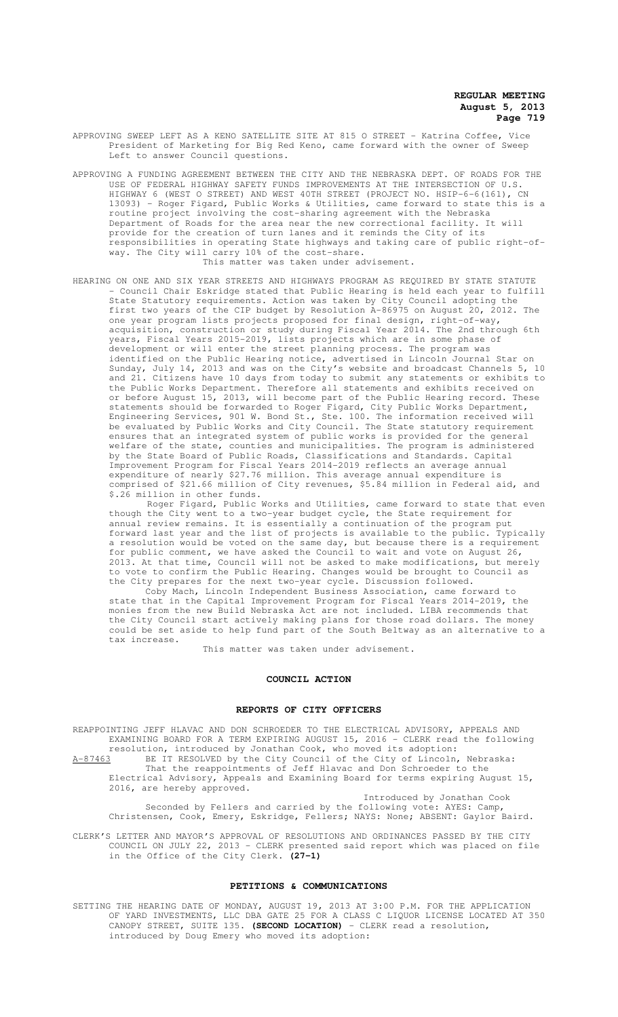- APPROVING SWEEP LEFT AS A KENO SATELLITE SITE AT 815 O STREET Katrina Coffee, Vice President of Marketing for Big Red Keno, came forward with the owner of Sweep Left to answer Council questions.
- APPROVING A FUNDING AGREEMENT BETWEEN THE CITY AND THE NEBRASKA DEPT. OF ROADS FOR THE USE OF FEDERAL HIGHWAY SAFETY FUNDS IMPROVEMENTS AT THE INTERSECTION OF U.S. HIGHWAY 6 (WEST O STREET) AND WEST 40TH STREET (PROJECT NO. HSIP-6-6(161), CN 13093) - Roger Figard, Public Works & Utilities, came forward to state this is a routine project involving the cost-sharing agreement with the Nebraska Department of Roads for the area near the new correctional facility. It will provide for the creation of turn lanes and it reminds the City of its responsibilities in operating State highways and taking care of public right-ofway. The City will carry 10% of the cost-share. This matter was taken under advisement.
- HEARING ON ONE AND SIX YEAR STREETS AND HIGHWAYS PROGRAM AS REQUIRED BY STATE STATUTE - Council Chair Eskridge stated that Public Hearing is held each year to fulfill State Statutory requirements. Action was taken by City Council adopting the first two years of the CIP budget by Resolution A-86975 on August 20, 2012. The one year program lists projects proposed for final design, right-of-way, acquisition, construction or study during Fiscal Year 2014. The 2nd through 6th years, Fiscal Years 2015-2019, lists projects which are in some phase of development or will enter the street planning process. The program was identified on the Public Hearing notice, advertised in Lincoln Journal Star on Sunday, July 14, 2013 and was on the City's website and broadcast Channels 5, 10 and 21. Citizens have 10 days from today to submit any statements or exhibits to the Public Works Department. Therefore all statements and exhibits received on or before August 15, 2013, will become part of the Public Hearing record. These statements should be forwarded to Roger Figard, City Public Works Department, Engineering Services, 901 W. Bond St., Ste. 100. The information received will be evaluated by Public Works and City Council. The State statutory requirement ensures that an integrated system of public works is provided for the general welfare of the state, counties and municipalities. The program is administered by the State Board of Public Roads, Classifications and Standards. Capital Improvement Program for Fiscal Years 2014-2019 reflects an average annual expenditure of nearly \$27.76 million. This average annual expenditure is comprised of \$21.66 million of City revenues, \$5.84 million in Federal aid, and \$.26 million in other funds.

 Roger Figard, Public Works and Utilities, came forward to state that even though the City went to a two-year budget cycle, the State requirement for annual review remains. It is essentially a continuation of the program put forward last year and the list of projects is available to the public. Typically a resolution would be voted on the same day, but because there is a requirement for public comment, we have asked the Council to wait and vote on August 26, 2013. At that time, Council will not be asked to make modifications, but merely to vote to confirm the Public Hearing. Changes would be brought to Council as the City prepares for the next two-year cycle. Discussion followed.

Coby Mach, Lincoln Independent Business Association, came forward to state that in the Capital Improvement Program for Fiscal Years 2014-2019, the monies from the new Build Nebraska Act are not included. LIBA recommends that the City Council start actively making plans for those road dollars. The money could be set aside to help fund part of the South Beltway as an alternative to a tax increase.

This matter was taken under advisement.

#### **COUNCIL ACTION**

## **REPORTS OF CITY OFFICERS**

REAPPOINTING JEFF HLAVAC AND DON SCHROEDER TO THE ELECTRICAL ADVISORY, APPEALS AND EXAMINING BOARD FOR A TERM EXPIRING AUGUST 15, 2016 - CLERK read the following resolution, introduced by Jonathan Cook, who moved its adoption: A-87463 BE IT RESOLVED by the City Council of the City of Lincoln, Nebraska: That the reappointments of Jeff Hlavac and Don Schroeder to the Electrical Advisory, Appeals and Examining Board for terms expiring August 15, 2016, are hereby approved.

Introduced by Jonathan Cook Seconded by Fellers and carried by the following vote: AYES: Camp, Christensen, Cook, Emery, Eskridge, Fellers; NAYS: None; ABSENT: Gaylor Baird.

CLERK'S LETTER AND MAYOR'S APPROVAL OF RESOLUTIONS AND ORDINANCES PASSED BY THE CITY COUNCIL ON JULY 22, 2013 - CLERK presented said report which was placed on file in the Office of the City Clerk. **(27-1)**

#### **PETITIONS & COMMUNICATIONS**

SETTING THE HEARING DATE OF MONDAY, AUGUST 19, 2013 AT 3:00 P.M. FOR THE APPLICATION OF YARD INVESTMENTS, LLC DBA GATE 25 FOR A CLASS C LIQUOR LICENSE LOCATED AT 350 CANOPY STREET, SUITE 135. **(SECOND LOCATION)** - CLERK read a resolution, introduced by Doug Emery who moved its adoption: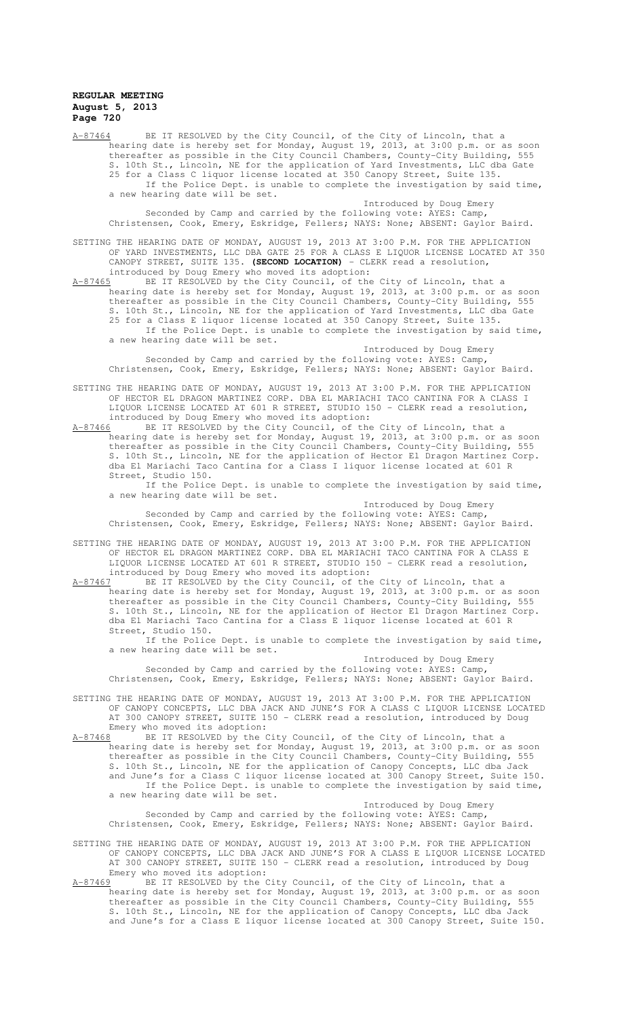A-87464 BE IT RESOLVED by the City Council, of the City of Lincoln, that a hearing date is hereby set for Monday, August 19, 2013, at 3:00 p.m. or as soon thereafter as possible in the City Council Chambers, County-City Building, 555 S. 10th St., Lincoln, NE for the application of Yard Investments, LLC dba Gate 25 for a Class C liquor license located at 350 Canopy Street, Suite 135. If the Police Dept. is unable to complete the investigation by said time, a new hearing date will be set.

Introduced by Doug Emery Seconded by Camp and carried by the following vote: AYES: Camp, Christensen, Cook, Emery, Eskridge, Fellers; NAYS: None; ABSENT: Gaylor Baird.

SETTING THE HEARING DATE OF MONDAY, AUGUST 19, 2013 AT 3:00 P.M. FOR THE APPLICATION OF YARD INVESTMENTS, LLC DBA GATE 25 FOR A CLASS E LIQUOR LICENSE LOCATED AT 350 CANOPY STREET, SUITE 135. **(SECOND LOCATION)** - CLERK read a resolution, introduced by Doug Emery who moved its adoption:

A-87465 BE IT RESOLVED by the City Council, of the City of Lincoln, that a hearing date is hereby set for Monday, August 19, 2013, at 3:00 p.m. or as soon thereafter as possible in the City Council Chambers, County-City Building, 555 S. 10th St., Lincoln, NE for the application of Yard Investments, LLC dba Gate 25 for a Class E liquor license located at 350 Canopy Street, Suite 135. If the Police Dept. is unable to complete the investigation by said time, a new hearing date will be set.

Introduced by Doug Emery Seconded by Camp and carried by the following vote: AYES: Camp, Christensen, Cook, Emery, Eskridge, Fellers; NAYS: None; ABSENT: Gaylor Baird.

SETTING THE HEARING DATE OF MONDAY, AUGUST 19, 2013 AT 3:00 P.M. FOR THE APPLICATION OF HECTOR EL DRAGON MARTINEZ CORP. DBA EL MARIACHI TACO CANTINA FOR A CLASS I LIQUOR LICENSE LOCATED AT 601 R STREET, STUDIO 150 - CLERK read a resolution, introduced by Doug Emery who moved its adoption:

 $A-87466$  BE IT RESOLVED by the City Council, of the City of Lincoln, that a hearing date is hereby set for Monday, August 19, 2013, at 3:00 p.m. or as soon thereafter as possible in the City Council Chambers, County-City Building, 555 S. 10th St., Lincoln, NE for the application of Hector El Dragon Martinez Corp. dba El Mariachi Taco Cantina for a Class I liquor license located at 601 R Street, Studio 150.

If the Police Dept. is unable to complete the investigation by said time, a new hearing date will be set.

Introduced by Doug Emery

Seconded by Camp and carried by the following vote: AYES: Camp, Christensen, Cook, Emery, Eskridge, Fellers; NAYS: None; ABSENT: Gaylor Baird.

SETTING THE HEARING DATE OF MONDAY, AUGUST 19, 2013 AT 3:00 P.M. FOR THE APPLICATION OF HECTOR EL DRAGON MARTINEZ CORP. DBA EL MARIACHI TACO CANTINA FOR A CLASS E LIQUOR LICENSE LOCATED AT 601 R STREET, STUDIO 150 - CLERK read a resolution, introduced by Doug Emery who moved its adoption:<br>A-87467 BE IT RESOLVED by the City Council, of the

BE IT RESOLVED by the City Council, of the City of Lincoln, that a hearing date is hereby set for Monday, August 19, 2013, at 3:00 p.m. or as soon thereafter as possible in the City Council Chambers, County-City Building, 555 S. 10th St., Lincoln, NE for the application of Hector El Dragon Martinez Corp. dba El Mariachi Taco Cantina for a Class E liquor license located at 601 R Street, Studio 150.

If the Police Dept. is unable to complete the investigation by said time, a new hearing date will be set.

Introduced by Doug Emery

Seconded by Camp and carried by the following vote: AYES: Camp, Christensen, Cook, Emery, Eskridge, Fellers; NAYS: None; ABSENT: Gaylor Baird.

SETTING THE HEARING DATE OF MONDAY, AUGUST 19, 2013 AT 3:00 P.M. FOR THE APPLICATION OF CANOPY CONCEPTS, LLC DBA JACK AND JUNE'S FOR A CLASS C LIQUOR LICENSE LOCATED AT 300 CANOPY STREET, SUITE 150 - CLERK read a resolution, introduced by Doug Emery who moved its adoption:

 $A-87468$  BE IT RESOLVED by the City Council, of the City of Lincoln, that a hearing date is hereby set for Monday, August 19, 2013, at 3:00 p.m. or as soon thereafter as possible in the City Council Chambers, County-City Building, 555 S. 10th St., Lincoln, NE for the application of Canopy Concepts, LLC dba Jack and June's for a Class C liquor license located at 300 Canopy Street, Suite 150. If the Police Dept. is unable to complete the investigation by said time, a new hearing date will be set.

Introduced by Doug Emery Seconded by Camp and carried by the following vote: AYES: Camp, Christensen, Cook, Emery, Eskridge, Fellers; NAYS: None; ABSENT: Gaylor Baird.

SETTING THE HEARING DATE OF MONDAY, AUGUST 19, 2013 AT 3:00 P.M. FOR THE APPLICATION OF CANOPY CONCEPTS, LLC DBA JACK AND JUNE'S FOR A CLASS E LIQUOR LICENSE LOCATED AT 300 CANOPY STREET, SUITE 150 - CLERK read a resolution, introduced by Doug

Emery who moved its adoption:<br>A-87469 BE IT RESOLVED by the C BE IT RESOLVED by the City Council, of the City of Lincoln, that a hearing date is hereby set for Monday, August 19, 2013, at 3:00 p.m. or as soon thereafter as possible in the City Council Chambers, County-City Building, 555 S. 10th St., Lincoln, NE for the application of Canopy Concepts, LLC dba Jack and June's for a Class E liquor license located at 300 Canopy Street, Suite 150.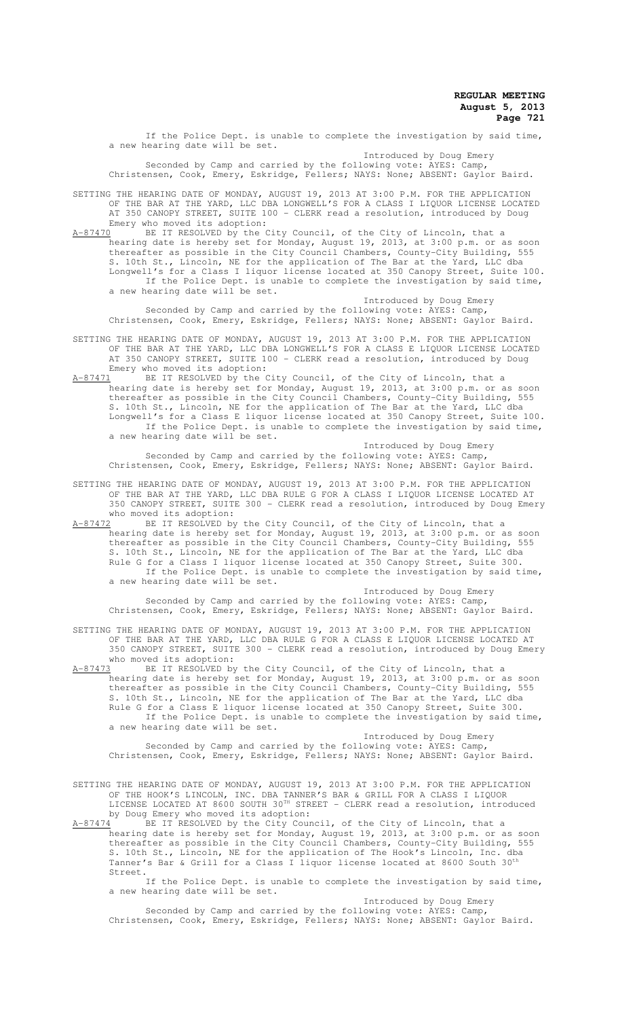If the Police Dept. is unable to complete the investigation by said time, a new hearing date will be set.

Introduced by Doug Emery Seconded by Camp and carried by the following vote: AYES: Camp, Christensen, Cook, Emery, Eskridge, Fellers; NAYS: None; ABSENT: Gaylor Baird.

SETTING THE HEARING DATE OF MONDAY, AUGUST 19, 2013 AT 3:00 P.M. FOR THE APPLICATION OF THE BAR AT THE YARD, LLC DBA LONGWELL'S FOR A CLASS I LIQUOR LICENSE LOCATED AT 350 CANOPY STREET, SUITE 100 - CLERK read a resolution, introduced by Doug Emery who moved its adoption:<br>A-87470 BE IT RESOLVED by the

A-87 A-87470 BE IT RESOLVED by the City Council, of the City of Lincoln, that a hearing date is hereby set for Monday, August 19, 2013, at 3:00 p.m. or as soon thereafter as possible in the City Council Chambers, County-City Building, 555 S. 10th St., Lincoln, NE for the application of The Bar at the Yard, LLC dba Longwell's for a Class I liquor license located at 350 Canopy Street, Suite 100. If the Police Dept. is unable to complete the investigation by said time, a new hearing date will be set.

Introduced by Doug Emery Seconded by Camp and carried by the following vote: AYES: Camp, Christensen, Cook, Emery, Eskridge, Fellers; NAYS: None; ABSENT: Gaylor Baird.

SETTING THE HEARING DATE OF MONDAY, AUGUST 19, 2013 AT 3:00 P.M. FOR THE APPLICATION OF THE BAR AT THE YARD, LLC DBA LONGWELL'S FOR A CLASS E LIQUOR LICENSE LOCATED AT 350 CANOPY STREET, SUITE 100 - CLERK read a resolution, introduced by Doug Emery who moved its adoption:

A-87471 BE IT RESOLVED by the City Council, of the City of Lincoln, that a hearing date is hereby set for Monday, August 19, 2013, at 3:00 p.m. or as soon thereafter as possible in the City Council Chambers, County-City Building, 555 S. 10th St., Lincoln, NE for the application of The Bar at the Yard, LLC dba Longwell's for a Class E liquor license located at 350 Canopy Street, Suite 100. If the Police Dept. is unable to complete the investigation by said time, a new hearing date will be set.

Introduced by Doug Emery Seconded by Camp and carried by the following vote: AYES: Camp, Christensen, Cook, Emery, Eskridge, Fellers; NAYS: None; ABSENT: Gaylor Baird.

SETTING THE HEARING DATE OF MONDAY, AUGUST 19, 2013 AT 3:00 P.M. FOR THE APPLICATION OF THE BAR AT THE YARD, LLC DBA RULE G FOR A CLASS I LIQUOR LICENSE LOCATED AT 350 CANOPY STREET, SUITE 300 - CLERK read a resolution, introduced by Doug Emery

who moved its adoption:<br>A-87472 BE IT RESOLVED by A-87472 BE IT RESOLVED by the City Council, of the City of Lincoln, that a hearing date is hereby set for Monday, August 19, 2013, at 3:00 p.m. or as soon thereafter as possible in the City Council Chambers, County-City Building, 555 S. 10th St., Lincoln, NE for the application of The Bar at the Yard, LLC dba Rule G for a Class I liquor license located at 350 Canopy Street, Suite 300. If the Police Dept. is unable to complete the investigation by said time, a new hearing date will be set.

Introduced by Doug Emery Seconded by Camp and carried by the following vote: AYES: Camp, Christensen, Cook, Emery, Eskridge, Fellers; NAYS: None; ABSENT: Gaylor Baird.

SETTING THE HEARING DATE OF MONDAY, AUGUST 19, 2013 AT 3:00 P.M. FOR THE APPLICATION OF THE BAR AT THE YARD, LLC DBA RULE G FOR A CLASS E LIQUOR LICENSE LOCATED AT 350 CANOPY STREET, SUITE 300 - CLERK read a resolution, introduced by Doug Emery who moved its adoption:

A-87473 BE IT RESOLVED by the City Council, of the City of Lincoln, that a hearing date is hereby set for Monday, August 19, 2013, at 3:00 p.m. or as soon thereafter as possible in the City Council Chambers, County-City Building, 555 S. 10th St., Lincoln, NE for the application of The Bar at the Yard, LLC dba Rule G for a Class E liquor license located at 350 Canopy Street, Suite 300. If the Police Dept. is unable to complete the investigation by said time, a new hearing date will be set. Introduced by Doug Emery

Seconded by Camp and carried by the following vote: AYES: Camp, Christensen, Cook, Emery, Eskridge, Fellers; NAYS: None; ABSENT: Gaylor Baird.

SETTING THE HEARING DATE OF MONDAY, AUGUST 19, 2013 AT 3:00 P.M. FOR THE APPLICATION OF THE HOOK'S LINCOLN, INC. DBA TANNER'S BAR & GRILL FOR A CLASS I LIQUOR LICENSE LOCATED AT 8600 SOUTH 30TH STREET - CLERK read a resolution, introduced by Doug Emery who moved its adoption:

A-87474 BE IT RESOLVED by the City Council, of the City of Lincoln, that a hearing date is hereby set for Monday, August 19, 2013, at 3:00 p.m. or as soon thereafter as possible in the City Council Chambers, County-City Building, 555 S. 10th St., Lincoln, NE for the application of The Hook's Lincoln, Inc. dba Tanner's Bar & Grill for a Class I liquor license located at 8600 South 30th Street.

If the Police Dept. is unable to complete the investigation by said time, a new hearing date will be set.

Introduced by Doug Emery Seconded by Camp and carried by the following vote: AYES: Camp, Christensen, Cook, Emery, Eskridge, Fellers; NAYS: None; ABSENT: Gaylor Baird.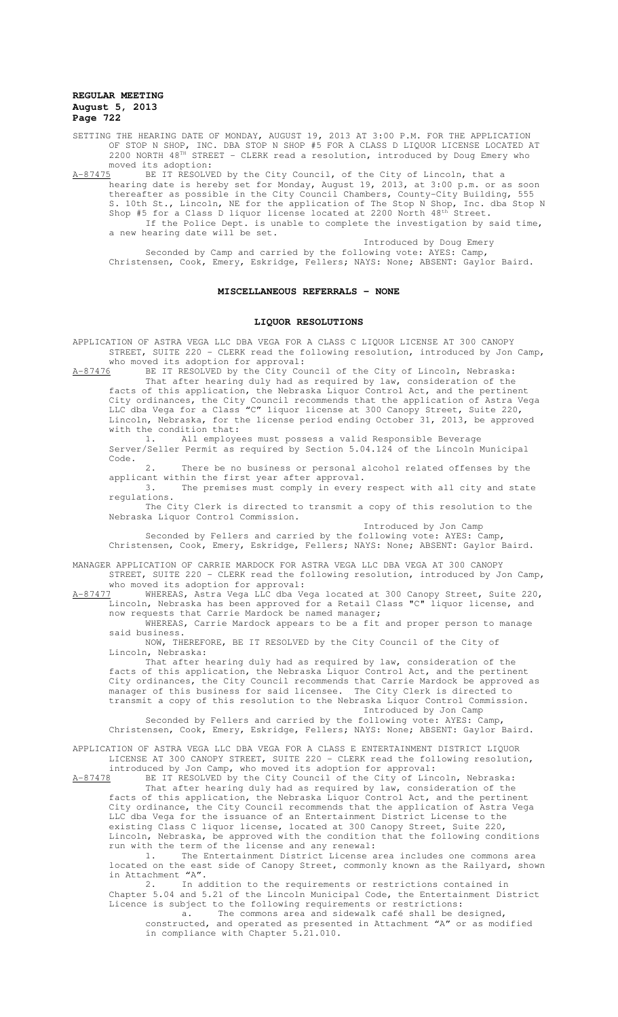- SETTING THE HEARING DATE OF MONDAY, AUGUST 19, 2013 AT 3:00 P.M. FOR THE APPLICATION OF STOP N SHOP, INC. DBA STOP N SHOP #5 FOR A CLASS D LIQUOR LICENSE LOCATED AT 2200 NORTH 48<sup>TH</sup> STREET - CLERK read a resolution, introduced by Doug Emery who moved its adoption:
- A-87475 BE IT RESOLVED by the City Council, of the City of Lincoln, that a hearing date is hereby set for Monday, August 19, 2013, at 3:00 p.m. or as soon thereafter as possible in the City Council Chambers, County-City Building, 555 S. 10th St., Lincoln, NE for the application of The Stop N Shop, Inc. dba Stop N Shop #5 for a Class D liquor license located at 2200 North  $48^{th}$  Street. If the Police Dept. is unable to complete the investigation by said time, a new hearing date will be set.

Introduced by Doug Emery

Seconded by Camp and carried by the following vote: AYES: Camp, Christensen, Cook, Emery, Eskridge, Fellers; NAYS: None; ABSENT: Gaylor Baird.

#### **MISCELLANEOUS REFERRALS - NONE**

#### **LIQUOR RESOLUTIONS**

APPLICATION OF ASTRA VEGA LLC DBA VEGA FOR A CLASS C LIQUOR LICENSE AT 300 CANOPY STREET, SUITE 220 - CLERK read the following resolution, introduced by Jon Camp, who moved its adoption for approval:

A-87476 BE IT RESOLVED by the City Council of the City of Lincoln, Nebraska: That after hearing duly had as required by law, consideration of the facts of this application, the Nebraska Liquor Control Act, and the pertinent City ordinances, the City Council recommends that the application of Astra Vega LLC dba Vega for a Class "C" liquor license at 300 Canopy Street, Suite 220, Lincoln, Nebraska, for the license period ending October 31, 2013, be approved with the condition that:

1. All employees must possess a valid Responsible Beverage Server/Seller Permit as required by Section 5.04.124 of the Lincoln Municipal Code.

2. There be no business or personal alcohol related offenses by the applicant within the first year after approval.

3. The premises must comply in every respect with all city and state regulations.

The City Clerk is directed to transmit a copy of this resolution to the Nebraska Liquor Control Commission.

Introduced by Jon Camp

Seconded by Fellers and carried by the following vote: AYES: Camp, Christensen, Cook, Emery, Eskridge, Fellers; NAYS: None; ABSENT: Gaylor Baird.

MANAGER APPLICATION OF CARRIE MARDOCK FOR ASTRA VEGA LLC DBA VEGA AT 300 CANOPY STREET, SUITE 220 - CLERK read the following resolution, introduced by Jon Camp, who moved its adoption for approval:

A-87477 WHEREAS, Astra Vega LLC dba Vega located at 300 Canopy Street, Suite 220, Lincoln, Nebraska has been approved for a Retail Class "C" liquor license, and now requests that Carrie Mardock be named manager;

WHEREAS, Carrie Mardock appears to be a fit and proper person to manage said business.

NOW, THEREFORE, BE IT RESOLVED by the City Council of the City of Lincoln, Nebraska:

That after hearing duly had as required by law, consideration of the facts of this application, the Nebraska Liquor Control Act, and the pertinent City ordinances, the City Council recommends that Carrie Mardock be approved as manager of this business for said licensee. The City Clerk is directed to transmit a copy of this resolution to the Nebraska Liquor Control Commission. Introduced by Jon Camp

Seconded by Fellers and carried by the following vote: AYES: Camp, Christensen, Cook, Emery, Eskridge, Fellers; NAYS: None; ABSENT: Gaylor Baird.

APPLICATION OF ASTRA VEGA LLC DBA VEGA FOR A CLASS E ENTERTAINMENT DISTRICT LIQUOR LICENSE AT 300 CANOPY STREET, SUITE 220 - CLERK read the following resolution, introduced by Jon Camp, who moved its adoption for approval:

A-87478 BE IT RESOLVED by the City Council of the City of Lincoln, Nebraska: That after hearing duly had as required by law, consideration of the facts of this application, the Nebraska Liquor Control Act, and the pertinent City ordinance, the City Council recommends that the application of Astra Vega LLC dba Vega for the issuance of an Entertainment District License to the existing Class C liquor license, located at 300 Canopy Street, Suite 220, Lincoln, Nebraska, be approved with the condition that the following conditions run with the term of the license and any renewal:

1. The Entertainment District License area includes one commons area located on the east side of Canopy Street, commonly known as the Railyard, shown in Attachment  $"A"$ .<br>2. In ac

In addition to the requirements or restrictions contained in Chapter 5.04 and 5.21 of the Lincoln Municipal Code, the Entertainment District Licence is subject to the following requirements or restrictions:

a. The commons area and sidewalk café shall be designed, constructed, and operated as presented in Attachment "A" or as modified in compliance with Chapter 5.21.010.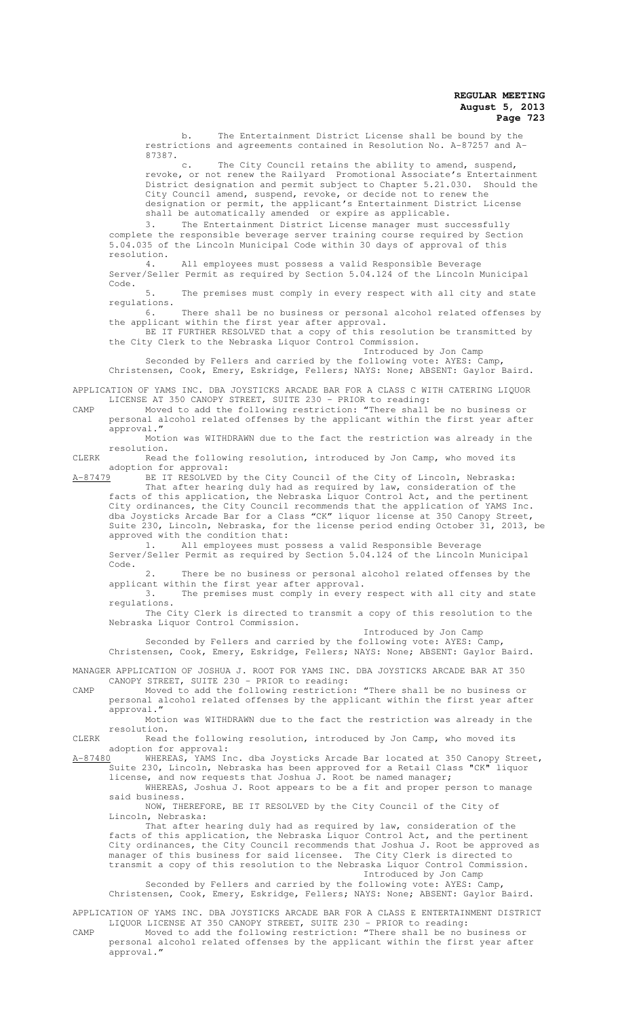b. The Entertainment District License shall be bound by the restrictions and agreements contained in Resolution No. A-87257 and A-87387.

c. The City Council retains the ability to amend, suspend, revoke, or not renew the Railyard Promotional Associate's Entertainment District designation and permit subject to Chapter 5.21.030. Should the City Council amend, suspend, revoke, or decide not to renew the designation or permit, the applicant's Entertainment District License shall be automatically amended or expire as applicable.

3. The Entertainment District License manager must successfully complete the responsible beverage server training course required by Section 5.04.035 of the Lincoln Municipal Code within 30 days of approval of this resolution.

4. All employees must possess a valid Responsible Beverage Server/Seller Permit as required by Section 5.04.124 of the Lincoln Municipal Code.

5. The premises must comply in every respect with all city and state regulations.

6. There shall be no business or personal alcohol related offenses by the applicant within the first year after approval.<br>BE IT FURTHER RESOLVED that a copy of this resolution be transmitted by

BE IT FURTHER RESOLVED that a copy of the City Clerk to the Nebraska Liquor Control Commission.

Introduced by Jon Camp

Seconded by Fellers and carried by the following vote: AYES: Camp, Christensen, Cook, Emery, Eskridge, Fellers; NAYS: None; ABSENT: Gaylor Baird.

APPLICATION OF YAMS INC. DBA JOYSTICKS ARCADE BAR FOR A CLASS C WITH CATERING LIQUOR LICENSE AT 350 CANOPY STREET, SUITE 230 - PRIOR to reading:<br>Moved to add the following restriction: "There shall be no business or

CAMP Moved to add the following restriction: "There shall be no business or personal alcohol related offenses by the applicant within the first year after approval."

Motion was WITHDRAWN due to the fact the restriction was already in the resolution.

CLERK Read the following resolution, introduced by Jon Camp, who moved its adoption for approval:

A-87479 BE IT RESOLVED by the City Council of the City of Lincoln, Nebraska: That after hearing duly had as required by law, consideration of the

facts of this application, the Nebraska Liquor Control Act, and the pertinent City ordinances, the City Council recommends that the application of YAMS Inc. dba Joysticks Arcade Bar for a Class "CK" liquor license at 350 Canopy Street, Suite 230, Lincoln, Nebraska, for the license period ending October 31, 2013, be approved with the condition that:

1. All employees must possess a valid Responsible Beverage Server/Seller Permit as required by Section 5.04.124 of the Lincoln Municipal Code.

2. There be no business or personal alcohol related offenses by the applicant within the first year after approval.

3. The premises must comply in every respect with all city and state regulations.

The City Clerk is directed to transmit a copy of this resolution to the Nebraska Liquor Control Commission.

Introduced by Jon Camp

Seconded by Fellers and carried by the following vote: AYES: Camp, Christensen, Cook, Emery, Eskridge, Fellers; NAYS: None; ABSENT: Gaylor Baird.

MANAGER APPLICATION OF JOSHUA J. ROOT FOR YAMS INC. DBA JOYSTICKS ARCADE BAR AT 350 CANOPY STREET, SUITE 230 - PRIOR to reading:

CAMP Moved to add the following restriction: "There shall be no business or personal alcohol related offenses by the applicant within the first year after approval."

Motion was WITHDRAWN due to the fact the restriction was already in the resolution.

CLERK Read the following resolution, introduced by Jon Camp, who moved its adoption for approval:<br>A-87480 WHEREAS, YAMS In

A-87480 WHEREAS, YAMS Inc. dba Joysticks Arcade Bar located at 350 Canopy Street, Suite 230, Lincoln, Nebraska has been approved for a Retail Class "CK" liquor license, and now requests that Joshua J. Root be named manager;

WHEREAS, Joshua J. Root appears to be a fit and proper person to manage said business.

NOW, THEREFORE, BE IT RESOLVED by the City Council of the City of Lincoln, Nebraska:

That after hearing duly had as required by law, consideration of the facts of this application, the Nebraska Liquor Control Act, and the pertinent City ordinances, the City Council recommends that Joshua J. Root be approved as manager of this business for said licensee. The City Clerk is directed to transmit a copy of this resolution to the Nebraska Liquor Control Commission. Introduced by Jon Camp

Seconded by Fellers and carried by the following vote: AYES: Camp, Christensen, Cook, Emery, Eskridge, Fellers; NAYS: None; ABSENT: Gaylor Baird.

APPLICATION OF YAMS INC. DBA JOYSTICKS ARCADE BAR FOR A CLASS E ENTERTAINMENT DISTRICT LIQUOR LICENSE AT 350 CANOPY STREET, SUITE 230 - PRIOR to reading:

CAMP Moved to add the following restriction: "There shall be no business or personal alcohol related offenses by the applicant within the first year after approval."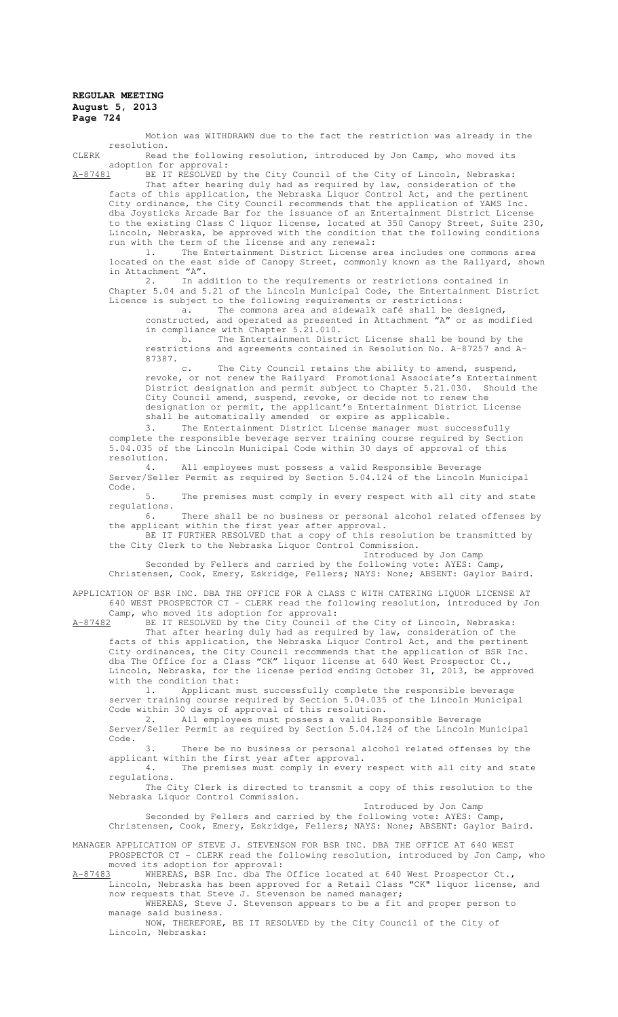Motion was WITHDRAWN due to the fact the restriction was already in the resolution.

CLERK Read the following resolution, introduced by Jon Camp, who moved its adoption for approval:

A-87481 BE IT RESOLVED by the City Council of the City of Lincoln, Nebraska: That after hearing duly had as required by law, consideration of the facts of this application, the Nebraska Liquor Control Act, and the pertinent City ordinance, the City Council recommends that the application of YAMS Inc. dba Joysticks Arcade Bar for the issuance of an Entertainment District License to the existing Class C liquor license, located at 350 Canopy Street, Suite 230, Lincoln, Nebraska, be approved with the condition that the following conditions run with the term of the license and any renewal:

1. The Entertainment District License area includes one commons area located on the east side of Canopy Street, commonly known as the Railyard, shown in Attachment "A".

2. In addition to the requirements or restrictions contained in Chapter 5.04 and 5.21 of the Lincoln Municipal Code, the Entertainment District Licence is subject to the following requirements or restrictions:

a. The commons area and sidewalk café shall be designed, constructed, and operated as presented in Attachment "A" or as modified in compliance with Chapter 5.21.010.

b. The Entertainment District License shall be bound by the restrictions and agreements contained in Resolution No. A-87257 and A-87387.

c. The City Council retains the ability to amend, suspend, revoke, or not renew the Railyard Promotional Associate's Entertainment District designation and permit subject to Chapter 5.21.030. Should the City Council amend, suspend, revoke, or decide not to renew the designation or permit, the applicant's Entertainment District License shall be automatically amended or expire as applicable.

3. The Entertainment District License manager must successfully complete the responsible beverage server training course required by Section 5.04.035 of the Lincoln Municipal Code within 30 days of approval of this resolution.

4. All employees must possess a valid Responsible Beverage Server/Seller Permit as required by Section 5.04.124 of the Lincoln Municipal Code.

5. The premises must comply in every respect with all city and state regulations.

6. There shall be no business or personal alcohol related offenses by the applicant within the first year after approval.

BE IT FURTHER RESOLVED that a copy of this resolution be transmitted by the City Clerk to the Nebraska Liquor Control Commission.

Introduced by Jon Camp

Seconded by Fellers and carried by the following vote: AYES: Camp, Christensen, Cook, Emery, Eskridge, Fellers; NAYS: None; ABSENT: Gaylor Baird.

APPLICATION OF BSR INC. DBA THE OFFICE FOR A CLASS C WITH CATERING LIQUOR LICENSE AT 640 WEST PROSPECTOR CT - CLERK read the following resolution, introduced by Jon

Camp, who moved its adoption for approval:<br>A-87482 BE IT RESOLVED by the City Council c BE IT RESOLVED by the City Council of the City of Lincoln, Nebraska: That after hearing duly had as required by law, consideration of the facts of this application, the Nebraska Liquor Control Act, and the pertinent City ordinances, the City Council recommends that the application of BSR Inc. dba The Office for a Class "CK" liquor license at 640 West Prospector Ct.,

Lincoln, Nebraska, for the license period ending October 31, 2013, be approved with the condition that:<br>1. Applicant m Applicant must successfully complete the responsible beverage

server training course required by Section 5.04.035 of the Lincoln Municipal Code within 30 days of approval of this resolution.

2. All employees must possess a valid Responsible Beverage Server/Seller Permit as required by Section 5.04.124 of the Lincoln Municipal Code.

3. There be no business or personal alcohol related offenses by the applicant within the first year after approval.

4. The premises must comply in every respect with all city and state regulations.

The City Clerk is directed to transmit a copy of this resolution to the Nebraska Liquor Control Commission.

Introduced by Jon Camp

Seconded by Fellers and carried by the following vote: AYES: Camp, Christensen, Cook, Emery, Eskridge, Fellers; NAYS: None; ABSENT: Gaylor Baird.

MANAGER APPLICATION OF STEVE J. STEVENSON FOR BSR INC. DBA THE OFFICE AT 640 WEST PROSPECTOR CT - CLERK read the following resolution, introduced by Jon Camp, who

moved its adoption for approval:<br>A-87483 WHEREAS, BSR Inc. dba The A-87483 WHEREAS, BSR Inc. dba The Office located at 640 West Prospector Ct., Lincoln, Nebraska has been approved for a Retail Class "CK" liquor license, and now requests that Steve J. Stevenson be named manager;

WHEREAS, Steve J. Stevenson appears to be a fit and proper person to manage said business.

NOW, THEREFORE, BE IT RESOLVED by the City Council of the City of Lincoln, Nebraska: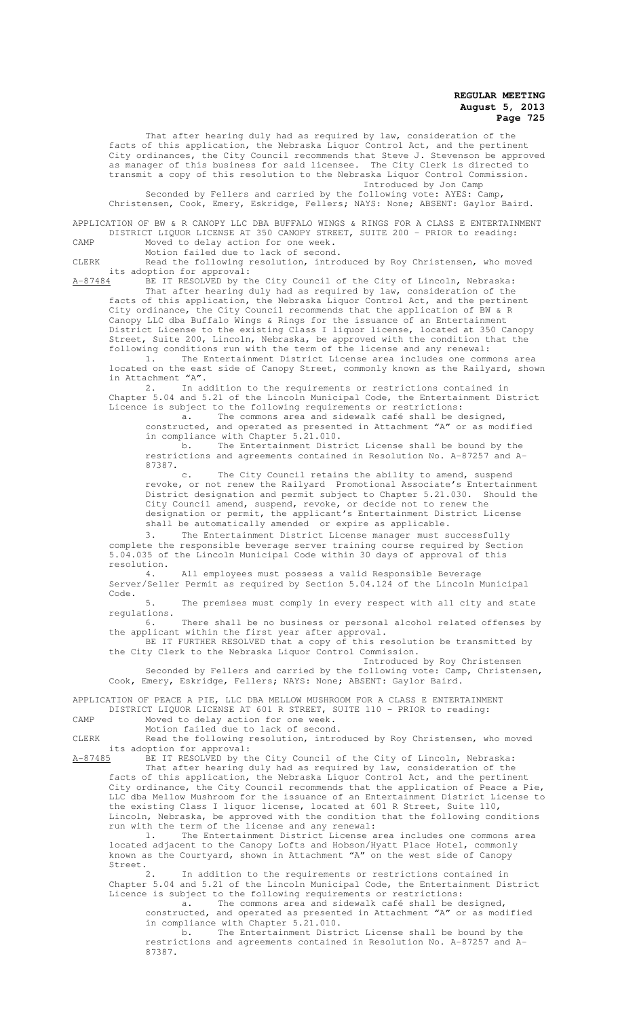That after hearing duly had as required by law, consideration of the facts of this application, the Nebraska Liquor Control Act, and the pertinent City ordinances, the City Council recommends that Steve J. Stevenson be approved as manager of this business for said licensee. The City Clerk is directed to transmit a copy of this resolution to the Nebraska Liquor Control Commission. Introduced by Jon Camp

Seconded by Fellers and carried by the following vote: AYES: Camp, Christensen, Cook, Emery, Eskridge, Fellers; NAYS: None; ABSENT: Gaylor Baird.

APPLICATION OF BW & R CANOPY LLC DBA BUFFALO WINGS & RINGS FOR A CLASS E ENTERTAINMENT DISTRICT LIQUOR LICENSE AT 350 CANOPY STREET, SUITE 200 - PRIOR to reading: CAMP Moved to delay action for one week.

Motion failed due to lack of second.

CLERK Read the following resolution, introduced by Roy Christensen, who moved its adoption for approval:<br>A-87484 BE IT RESOLVED by the

BE IT RESOLVED by the City Council of the City of Lincoln, Nebraska: That after hearing duly had as required by law, consideration of the facts of this application, the Nebraska Liquor Control Act, and the pertinent City ordinance, the City Council recommends that the application of BW & R Canopy LLC dba Buffalo Wings & Rings for the issuance of an Entertainment District License to the existing Class I liquor license, located at 350 Canopy Street, Suite 200, Lincoln, Nebraska, be approved with the condition that the following conditions run with the term of the license and any renewal:

1. The Entertainment District License area includes one commons area located on the east side of Canopy Street, commonly known as the Railyard, shown in Attachment "A".

2. In addition to the requirements or restrictions contained in Chapter 5.04 and 5.21 of the Lincoln Municipal Code, the Entertainment District Licence is subject to the following requirements or restrictions:

a. The commons area and sidewalk café shall be designed, constructed, and operated as presented in Attachment "A" or as modified in compliance with Chapter 5.21.010.

b. The Entertainment District License shall be bound by the restrictions and agreements contained in Resolution No. A-87257 and A- $87387.$ 

The City Council retains the ability to amend, suspend revoke, or not renew the Railyard Promotional Associate's Entertainment District designation and permit subject to Chapter 5.21.030. Should the City Council amend, suspend, revoke, or decide not to renew the designation or permit, the applicant's Entertainment District License shall be automatically amended or expire as applicable.

3. The Entertainment District License manager must successfully complete the responsible beverage server training course required by Section 5.04.035 of the Lincoln Municipal Code within 30 days of approval of this resolution.

4. All employees must possess a valid Responsible Beverage Server/Seller Permit as required by Section 5.04.124 of the Lincoln Municipal

Code. 5. The premises must comply in every respect with all city and state regulations.

6. There shall be no business or personal alcohol related offenses by the applicant within the first year after approval.

BE IT FURTHER RESOLVED that a copy of this resolution be transmitted by the City Clerk to the Nebraska Liquor Control Commission.

Introduced by Roy Christensen Seconded by Fellers and carried by the following vote: Camp, Christensen, Cook, Emery, Eskridge, Fellers; NAYS: None; ABSENT: Gaylor Baird.

APPLICATION OF PEACE A PIE, LLC DBA MELLOW MUSHROOM FOR A CLASS E ENTERTAINMENT DISTRICT LIQUOR LICENSE AT 601 R STREET, SUITE 110 - PRIOR to reading:

CAMP Moved to delay action for one week. Motion failed due to lack of second.

CLERK Read the following resolution, introduced by Roy Christensen, who moved its adoption for approval:<br>A-87485 BE IT RESOLVED by th

BE IT RESOLVED by the City Council of the City of Lincoln, Nebraska: That after hearing duly had as required by law, consideration of the facts of this application, the Nebraska Liquor Control Act, and the pertinent City ordinance, the City Council recommends that the application of Peace a Pie, LLC dba Mellow Mushroom for the issuance of an Entertainment District License to the existing Class I liquor license, located at 601 R Street, Suite 110, Lincoln, Nebraska, be approved with the condition that the following conditions run with the term of the license and any renewal:

1. The Entertainment District License area includes one commons area located adjacent to the Canopy Lofts and Hobson/Hyatt Place Hotel, commonly known as the Courtyard, shown in Attachment "A" on the west side of Canopy Street.<br>2.

In addition to the requirements or restrictions contained in Chapter 5.04 and 5.21 of the Lincoln Municipal Code, the Entertainment District Licence is subject to the following requirements or restrictions:

a. The commons area and sidewalk café shall be designed, constructed, and operated as presented in Attachment "A" or as modified in compliance with Chapter 5.21.010.

b. The Entertainment District License shall be bound by the restrictions and agreements contained in Resolution No. A-87257 and A-87387.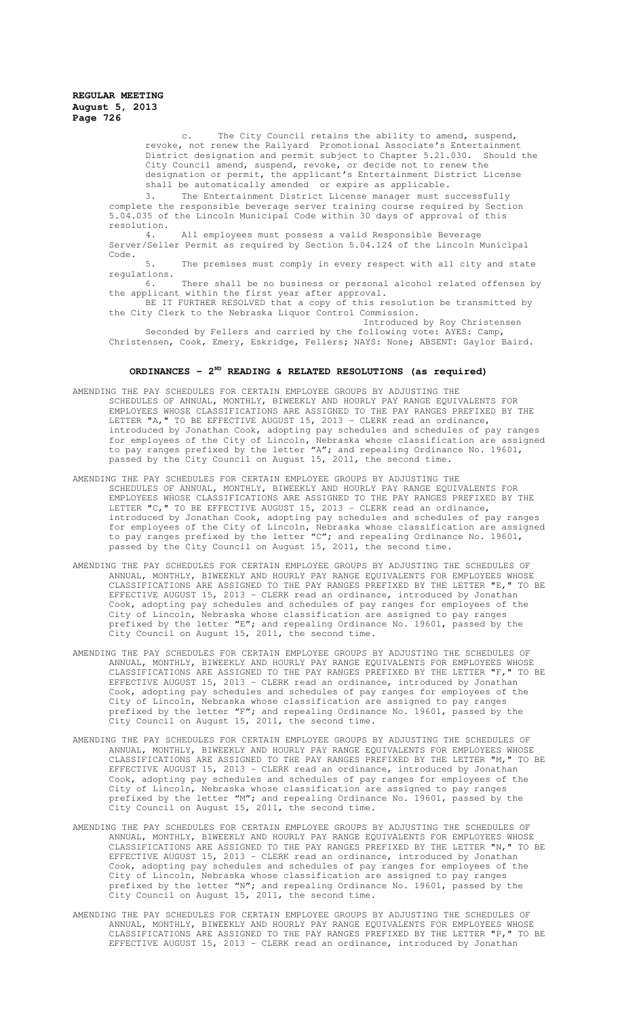> c. The City Council retains the ability to amend, suspend, revoke, not renew the Railyard Promotional Associate's Entertainment District designation and permit subject to Chapter 5.21.030. Should the City Council amend, suspend, revoke, or decide not to renew the designation or permit, the applicant's Entertainment District License shall be automatically amended or expire as applicable.

3. The Entertainment District License manager must successfully complete the responsible beverage server training course required by Section 5.04.035 of the Lincoln Municipal Code within 30 days of approval of this resolution.

4. All employees must possess a valid Responsible Beverage Server/Seller Permit as required by Section 5.04.124 of the Lincoln Municipal Code.

5. The premises must comply in every respect with all city and state regulations.

6. There shall be no business or personal alcohol related offenses by the applicant within the first year after approval.

BE IT FURTHER RESOLVED that a copy of this resolution be transmitted by the City Clerk to the Nebraska Liquor Control Commission.

Introduced by Roy Christensen Seconded by Fellers and carried by the following vote: AYES: Camp, Christensen, Cook, Emery, Eskridge, Fellers; NAYS: None; ABSENT: Gaylor Baird.

# **ORDINANCES - 2ND READING & RELATED RESOLUTIONS (as required)**

- AMENDING THE PAY SCHEDULES FOR CERTAIN EMPLOYEE GROUPS BY ADJUSTING THE SCHEDULES OF ANNUAL, MONTHLY, BIWEEKLY AND HOURLY PAY RANGE EQUIVALENTS FOR EMPLOYEES WHOSE CLASSIFICATIONS ARE ASSIGNED TO THE PAY RANGES PREFIXED BY THE LETTER "A, " TO BE EFFECTIVE AUGUST 15, 2013 - CLERK read an ordinance, introduced by Jonathan Cook, adopting pay schedules and schedules of pay ranges for employees of the City of Lincoln, Nebraska whose classification are assigned to pay ranges prefixed by the letter "A"; and repealing Ordinance No. 19601, passed by the City Council on August 15, 2011, the second time.
- AMENDING THE PAY SCHEDULES FOR CERTAIN EMPLOYEE GROUPS BY ADJUSTING THE SCHEDULES OF ANNUAL, MONTHLY, BIWEEKLY AND HOURLY PAY RANGE EQUIVALENTS FOR EMPLOYEES WHOSE CLASSIFICATIONS ARE ASSIGNED TO THE PAY RANGES PREFIXED BY THE LETTER "C," TO BE EFFECTIVE AUGUST 15, 2013 - CLERK read an ordinance, introduced by Jonathan Cook, adopting pay schedules and schedules of pay ranges for employees of the City of Lincoln, Nebraska whose classification are assigned to pay ranges prefixed by the letter "C"; and repealing Ordinance No. 19601, passed by the City Council on August 15, 2011, the second time.
- AMENDING THE PAY SCHEDULES FOR CERTAIN EMPLOYEE GROUPS BY ADJUSTING THE SCHEDULES OF ANNUAL, MONTHLY, BIWEEKLY AND HOURLY PAY RANGE EQUIVALENTS FOR EMPLOYEES WHOSE CLASSIFICATIONS ARE ASSIGNED TO THE PAY RANGES PREFIXED BY THE LETTER "E," TO BE EFFECTIVE AUGUST 15, 2013 - CLERK read an ordinance, introduced by Jonathan Cook, adopting pay schedules and schedules of pay ranges for employees of the City of Lincoln, Nebraska whose classification are assigned to pay ranges prefixed by the letter "E"; and repealing Ordinance No. 19601, passed by the City Council on August 15, 2011, the second time.
- AMENDING THE PAY SCHEDULES FOR CERTAIN EMPLOYEE GROUPS BY ADJUSTING THE SCHEDULES OF ANNUAL, MONTHLY, BIWEEKLY AND HOURLY PAY RANGE EQUIVALENTS FOR EMPLOYEES WHOSE CLASSIFICATIONS ARE ASSIGNED TO THE PAY RANGES PREFIXED BY THE LETTER "F," TO BE EFFECTIVE AUGUST 15, 2013 - CLERK read an ordinance, introduced by Jonathan Cook, adopting pay schedules and schedules of pay ranges for employees of the City of Lincoln, Nebraska whose classification are assigned to pay ranges prefixed by the letter "F"; and repealing Ordinance No. 19601, passed by the City Council on August 15, 2011, the second time.
- AMENDING THE PAY SCHEDULES FOR CERTAIN EMPLOYEE GROUPS BY ADJUSTING THE SCHEDULES OF ANNUAL, MONTHLY, BIWEEKLY AND HOURLY PAY RANGE EQUIVALENTS FOR EMPLOYEES WHOSE CLASSIFICATIONS ARE ASSIGNED TO THE PAY RANGES PREFIXED BY THE LETTER "M," TO BE EFFECTIVE AUGUST 15, 2013 - CLERK read an ordinance, introduced by Jonathan Cook, adopting pay schedules and schedules of pay ranges for employees of the City of Lincoln, Nebraska whose classification are assigned to pay ranges prefixed by the letter "M"; and repealing Ordinance No. 19601, passed by the City Council on August 15, 2011, the second time.
- AMENDING THE PAY SCHEDULES FOR CERTAIN EMPLOYEE GROUPS BY ADJUSTING THE SCHEDULES OF ANNUAL, MONTHLY, BIWEEKLY AND HOURLY PAY RANGE EQUIVALENTS FOR EMPLOYEES WHOSE CLASSIFICATIONS ARE ASSIGNED TO THE PAY RANGES PREFIXED BY THE LETTER "N," TO BE EFFECTIVE AUGUST 15, 2013 - CLERK read an ordinance, introduced by Jonathan Cook, adopting pay schedules and schedules of pay ranges for employees of the City of Lincoln, Nebraska whose classification are assigned to pay ranges prefixed by the letter "N"; and repealing Ordinance No. 19601, passed by the City Council on August 15, 2011, the second time.
- AMENDING THE PAY SCHEDULES FOR CERTAIN EMPLOYEE GROUPS BY ADJUSTING THE SCHEDULES OF ANNUAL, MONTHLY, BIWEEKLY AND HOURLY PAY RANGE EQUIVALENTS FOR EMPLOYEES WHOSE CLASSIFICATIONS ARE ASSIGNED TO THE PAY RANGES PREFIXED BY THE LETTER "P," TO BE EFFECTIVE AUGUST 15, 2013 - CLERK read an ordinance, introduced by Jonathan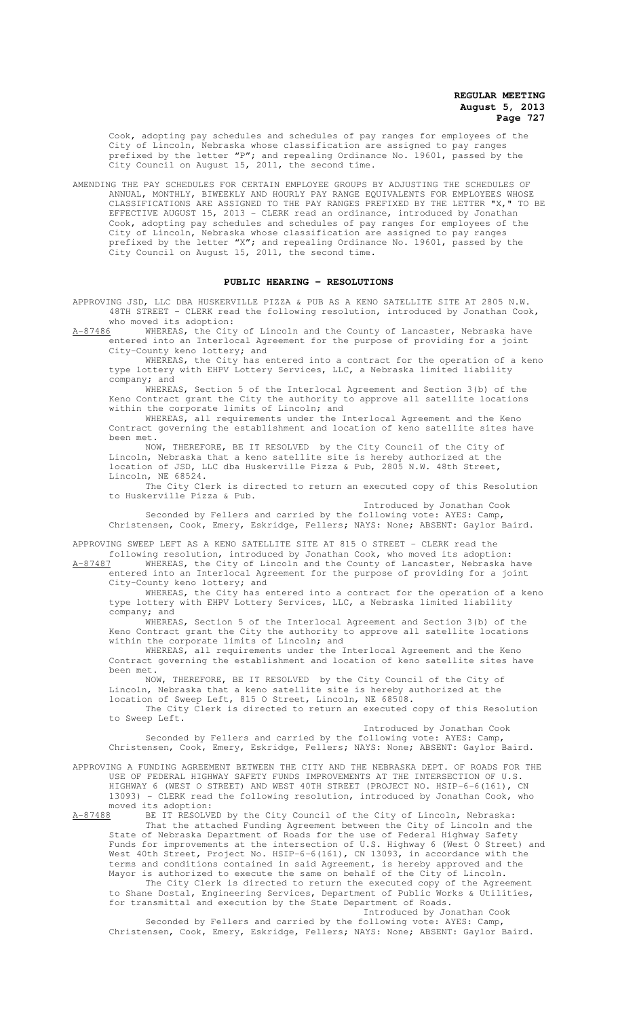Cook, adopting pay schedules and schedules of pay ranges for employees of the City of Lincoln, Nebraska whose classification are assigned to pay ranges prefixed by the letter "P"; and repealing Ordinance No. 19601, passed by the City Council on August 15, 2011, the second time.

AMENDING THE PAY SCHEDULES FOR CERTAIN EMPLOYEE GROUPS BY ADJUSTING THE SCHEDULES OF ANNUAL, MONTHLY, BIWEEKLY AND HOURLY PAY RANGE EQUIVALENTS FOR EMPLOYEES WHOSE CLASSIFICATIONS ARE ASSIGNED TO THE PAY RANGES PREFIXED BY THE LETTER "X," TO BE EFFECTIVE AUGUST 15, 2013 - CLERK read an ordinance, introduced by Jonathan Cook, adopting pay schedules and schedules of pay ranges for employees of the City of Lincoln, Nebraska whose classification are assigned to pay ranges prefixed by the letter "X"; and repealing Ordinance No. 19601, passed by the City Council on August 15, 2011, the second time.

#### **PUBLIC HEARING - RESOLUTIONS**

APPROVING JSD, LLC DBA HUSKERVILLE PIZZA & PUB AS A KENO SATELLITE SITE AT 2805 N.W. 48TH STREET - CLERK read the following resolution, introduced by Jonathan Cook, who moved its adoption:<br>A-87486 WHEREAS, the City

WHEREAS, the City of Lincoln and the County of Lancaster, Nebraska have entered into an Interlocal Agreement for the purpose of providing for a joint City-County keno lottery; and

WHEREAS, the City has entered into a contract for the operation of a keno type lottery with EHPV Lottery Services, LLC, a Nebraska limited liability company; and

WHEREAS, Section 5 of the Interlocal Agreement and Section 3(b) of the Keno Contract grant the City the authority to approve all satellite locations within the corporate limits of Lincoln; and

WHEREAS, all requirements under the Interlocal Agreement and the Keno Contract governing the establishment and location of keno satellite sites have been met.<br>NOW.

THEREFORE, BE IT RESOLVED by the City Council of the City of Lincoln, Nebraska that a keno satellite site is hereby authorized at the location of JSD, LLC dba Huskerville Pizza & Pub, 2805 N.W. 48th Street, Lincoln, NE 68524.

The City Clerk is directed to return an executed copy of this Resolution to Huskerville Pizza & Pub.

Introduced by Jonathan Cook Seconded by Fellers and carried by the following vote: AYES: Camp, Christensen, Cook, Emery, Eskridge, Fellers; NAYS: None; ABSENT: Gaylor Baird.

APPROVING SWEEP LEFT AS A KENO SATELLITE SITE AT 815 O STREET - CLERK read the following resolution, introduced by Jonathan Cook, who moved its adoption:

A-87487 WHEREAS, the City of Lincoln and the County of Lancaster, Nebraska have entered into an Interlocal Agreement for the purpose of providing for a joint City-County keno lottery; and

WHEREAS, the City has entered into a contract for the operation of a keno type lottery with EHPV Lottery Services, LLC, a Nebraska limited liability company; and

WHEREAS, Section 5 of the Interlocal Agreement and Section 3(b) of the Keno Contract grant the City the authority to approve all satellite locations within the corporate limits of Lincoln; and

WHEREAS, all requirements under the Interlocal Agreement and the Keno Contract governing the establishment and location of keno satellite sites have been met.

NOW, THEREFORE, BE IT RESOLVED by the City Council of the City of Lincoln, Nebraska that a keno satellite site is hereby authorized at the location of Sweep Left, 815 O Street, Lincoln, NE 68508.

The City Clerk is directed to return an executed copy of this Resolution to Sweep Left.

Introduced by Jonathan Cook

Seconded by Fellers and carried by the following vote: AYES: Camp, Christensen, Cook, Emery, Eskridge, Fellers; NAYS: None; ABSENT: Gaylor Baird.

APPROVING A FUNDING AGREEMENT BETWEEN THE CITY AND THE NEBRASKA DEPT. OF ROADS FOR THE USE OF FEDERAL HIGHWAY SAFETY FUNDS IMPROVEMENTS AT THE INTERSECTION OF U.S. HIGHWAY 6 (WEST O STREET) AND WEST 40TH STREET (PROJECT NO. HSIP-6-6(161), CN 13093) - CLERK read the following resolution, introduced by Jonathan Cook, who moved its adoption:<br>A-87488 BE IT RESOLVE

A-87488 BE IT RESOLVED by the City Council of the City of Lincoln, Nebraska: That the attached Funding Agreement between the City of Lincoln and the State of Nebraska Department of Roads for the use of Federal Highway Safety Funds for improvements at the intersection of U.S. Highway 6 (West O Street) and West 40th Street, Project No. HSIP-6-6(161), CN 13093, in accordance with the terms and conditions contained in said Agreement, is hereby approved and the

Mayor is authorized to execute the same on behalf of the City of Lincoln. The City Clerk is directed to return the executed copy of the Agreement to Shane Dostal, Engineering Services, Department of Public Works & Utilities, for transmittal and execution by the State Department of Roads.

Introduced by Jonathan Cook

Seconded by Fellers and carried by the following vote: AYES: Camp, Christensen, Cook, Emery, Eskridge, Fellers; NAYS: None; ABSENT: Gaylor Baird.